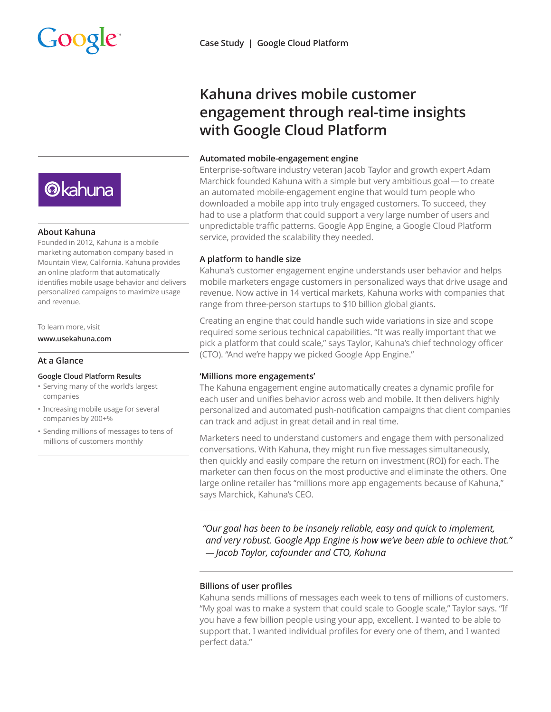

## **About Kahuna**

Founded in 2012, Kahuna is a mobile marketing automation company based in Mountain View, California. Kahuna provides an online platform that automatically identifies mobile usage behavior and delivers personalized campaigns to maximize usage and revenue.

#### To learn more, visit

**www.usekahuna.com**

# **At a Glance**

#### **Google Cloud Platform Results**

- Serving many of the world's largest companies
- Increasing mobile usage for several companies by 200+%
- Sending millions of messages to tens of millions of customers monthly

# **Kahuna drives mobile customer engagement through real-time insights with Google Cloud Platform**

## **Automated mobile-engagement engine**

Enterprise-software industry veteran Jacob Taylor and growth expert Adam Marchick founded Kahuna with a simple but very ambitious goal—to create an automated mobile-engagement engine that would turn people who downloaded a mobile app into truly engaged customers. To succeed, they had to use a platform that could support a very large number of users and unpredictable traffic patterns. Google App Engine, a Google Cloud Platform service, provided the scalability they needed.

# **A platform to handle size**

Kahuna's customer engagement engine understands user behavior and helps mobile marketers engage customers in personalized ways that drive usage and revenue. Now active in 14 vertical markets, Kahuna works with companies that range from three-person startups to \$10 billion global giants.

Creating an engine that could handle such wide variations in size and scope required some serious technical capabilities. "It was really important that we pick a platform that could scale," says Taylor, Kahuna's chief technology officer (CTO). "And we're happy we picked Google App Engine."

# **'Millions more engagements'**

The Kahuna engagement engine automatically creates a dynamic profile for each user and unifies behavior across web and mobile. It then delivers highly personalized and automated push-notification campaigns that client companies can track and adjust in great detail and in real time.

Marketers need to understand customers and engage them with personalized conversations. With Kahuna, they might run five messages simultaneously, then quickly and easily compare the return on investment (ROI) for each. The marketer can then focus on the most productive and eliminate the others. One large online retailer has "millions more app engagements because of Kahuna," says Marchick, Kahuna's CEO.

*"Our goal has been to be insanely reliable, easy and quick to implement, and very robust. Google App Engine is how we've been able to achieve that." — Jacob Taylor, cofounder and CTO, Kahuna*

# **Billions of user profiles**

Kahuna sends millions of messages each week to tens of millions of customers. "My goal was to make a system that could scale to Google scale," Taylor says. "If you have a few billion people using your app, excellent. I wanted to be able to support that. I wanted individual profiles for every one of them, and I wanted perfect data."